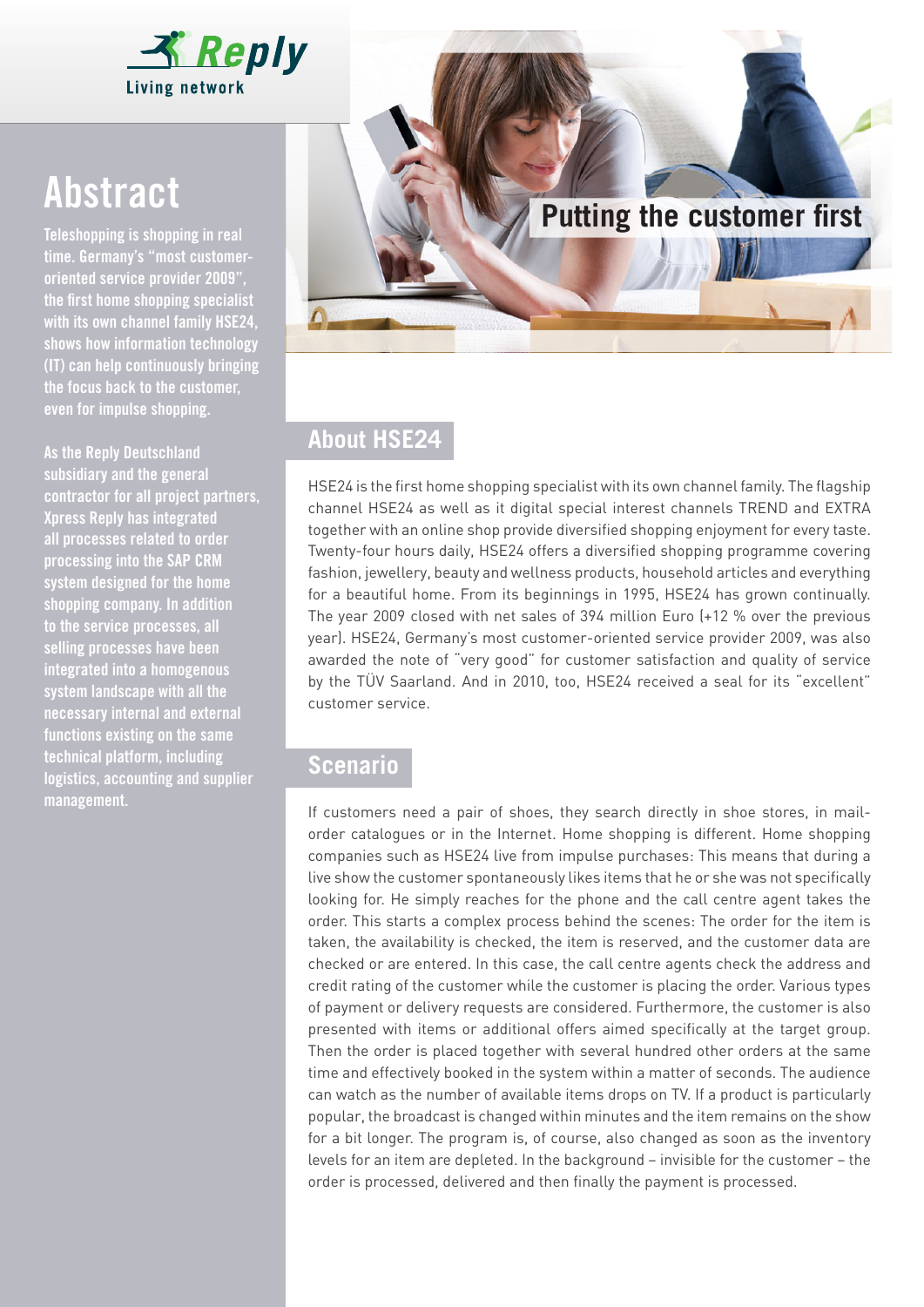

Teleshopping is shopping in real time. Germany's "most customeroriented service provider 2009", the first home shopping specialist with its own channel family HSE24, shows how information technology (IT) can help continuously bringing the focus back to the customer, even for impulse shopping.

As the Reply Deutschland subsidiary and the general contractor for all project partners, Xpress Reply has integrated all processes related to order processing into the SAP CRM system designed for the home shopping company. In addition to the service processes, all selling processes have been integrated into a homogenous system landscape with all the necessary internal and external functions existing on the same technical platform, including logistics, accounting and supplier management.



# **About HSE24**

HSE24 is the first home shopping specialist with its own channel family. The flagship channel HSE24 as well as it digital special interest channels TREND and EXTRA together with an online shop provide diversified shopping enjoyment for every taste. Twenty-four hours daily, HSE24 offers a diversified shopping programme covering fashion, jewellery, beauty and wellness products, household articles and everything for a beautiful home. From its beginnings in 1995, HSE24 has grown continually. The year 2009 closed with net sales of 394 million Euro (+12 % over the previous year). HSE24, Germany's most customer-oriented service provider 2009, was also awarded the note of "very good" for customer satisfaction and quality of service by the TÜV Saarland. And in 2010, too, HSE24 received a seal for its "excellent" customer service.

## **Scenario**

If customers need a pair of shoes, they search directly in shoe stores, in mailorder catalogues or in the Internet. Home shopping is different. Home shopping companies such as HSE24 live from impulse purchases: This means that during a live show the customer spontaneously likes items that he or she was not specifically looking for. He simply reaches for the phone and the call centre agent takes the order. This starts a complex process behind the scenes: The order for the item is taken, the availability is checked, the item is reserved, and the customer data are checked or are entered. In this case, the call centre agents check the address and credit rating of the customer while the customer is placing the order. Various types of payment or delivery requests are considered. Furthermore, the customer is also presented with items or additional offers aimed specifically at the target group. Then the order is placed together with several hundred other orders at the same time and effectively booked in the system within a matter of seconds. The audience can watch as the number of available items drops on TV. If a product is particularly popular, the broadcast is changed within minutes and the item remains on the show for a bit longer. The program is, of course, also changed as soon as the inventory levels for an item are depleted. In the background – invisible for the customer – the order is processed, delivered and then finally the payment is processed.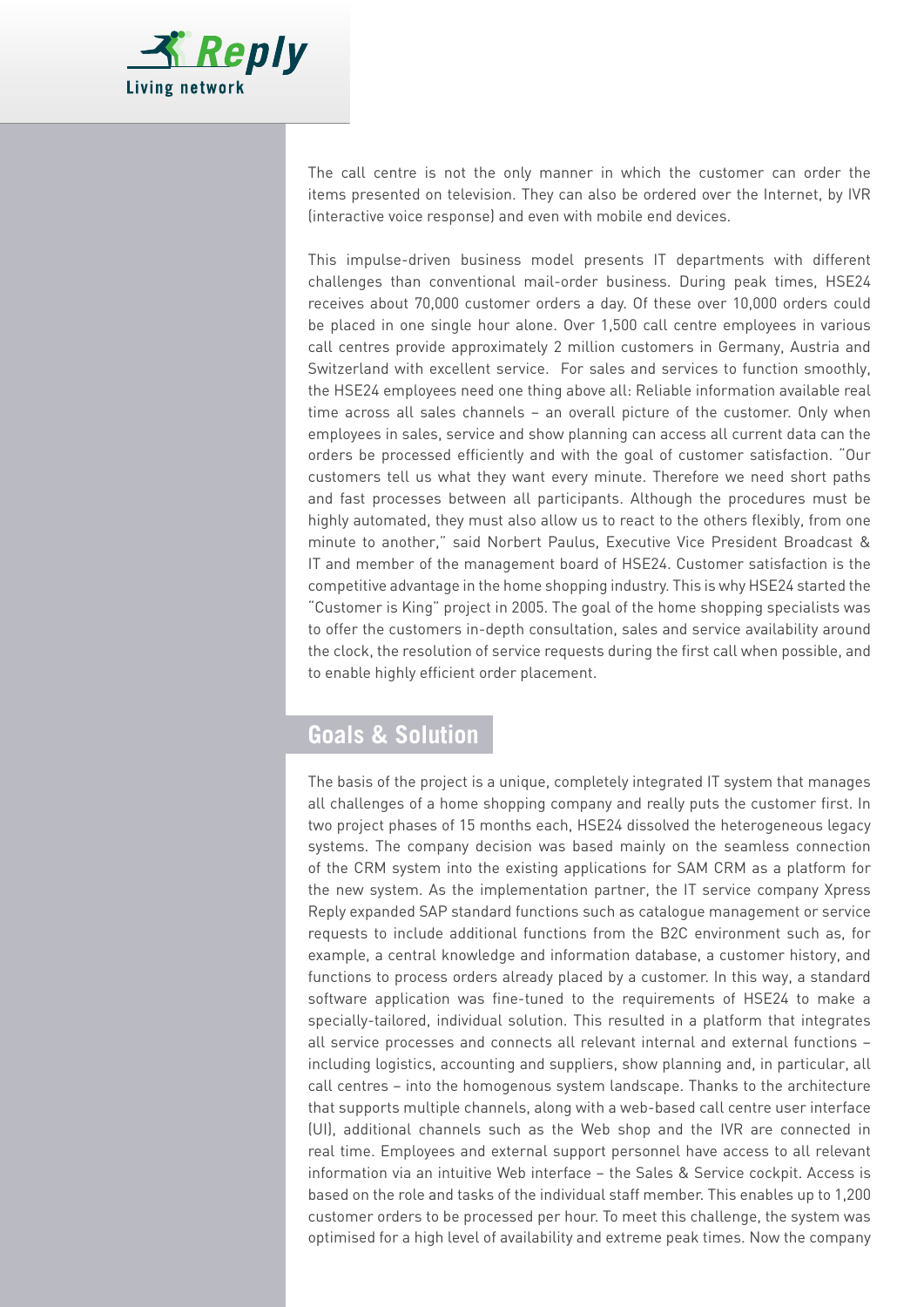

The call centre is not the only manner in which the customer can order the items presented on television. They can also be ordered over the Internet, by IVR (interactive voice response) and even with mobile end devices.

This impulse-driven business model presents IT departments with different challenges than conventional mail-order business. During peak times, HSE24 receives about 70,000 customer orders a day. Of these over 10,000 orders could be placed in one single hour alone. Over 1,500 call centre employees in various call centres provide approximately 2 million customers in Germany, Austria and Switzerland with excellent service. For sales and services to function smoothly, the HSE24 employees need one thing above all: Reliable information available real time across all sales channels – an overall picture of the customer. Only when employees in sales, service and show planning can access all current data can the orders be processed efficiently and with the goal of customer satisfaction. "Our customers tell us what they want every minute. Therefore we need short paths and fast processes between all participants. Although the procedures must be highly automated, they must also allow us to react to the others flexibly, from one minute to another," said Norbert Paulus, Executive Vice President Broadcast & IT and member of the management board of HSE24. Customer satisfaction is the competitive advantage in the home shopping industry. This is why HSE24 started the "Customer is King" project in 2005. The goal of the home shopping specialists was to offer the customers in-depth consultation, sales and service availability around the clock, the resolution of service requests during the first call when possible, and to enable highly efficient order placement.

## **Goals & Solution**

The basis of the project is a unique, completely integrated IT system that manages all challenges of a home shopping company and really puts the customer first. In two project phases of 15 months each, HSE24 dissolved the heterogeneous legacy systems. The company decision was based mainly on the seamless connection of the CRM system into the existing applications for SAM CRM as a platform for the new system. As the implementation partner, the IT service company Xpress Reply expanded SAP standard functions such as catalogue management or service requests to include additional functions from the B2C environment such as, for example, a central knowledge and information database, a customer history, and functions to process orders already placed by a customer. In this way, a standard software application was fine-tuned to the requirements of HSE24 to make a specially-tailored, individual solution. This resulted in a platform that integrates all service processes and connects all relevant internal and external functions – including logistics, accounting and suppliers, show planning and, in particular, all call centres – into the homogenous system landscape. Thanks to the architecture that supports multiple channels, along with a web-based call centre user interface (UI), additional channels such as the Web shop and the IVR are connected in real time. Employees and external support personnel have access to all relevant information via an intuitive Web interface – the Sales & Service cockpit. Access is based on the role and tasks of the individual staff member. This enables up to 1,200 customer orders to be processed per hour. To meet this challenge, the system was optimised for a high level of availability and extreme peak times. Now the company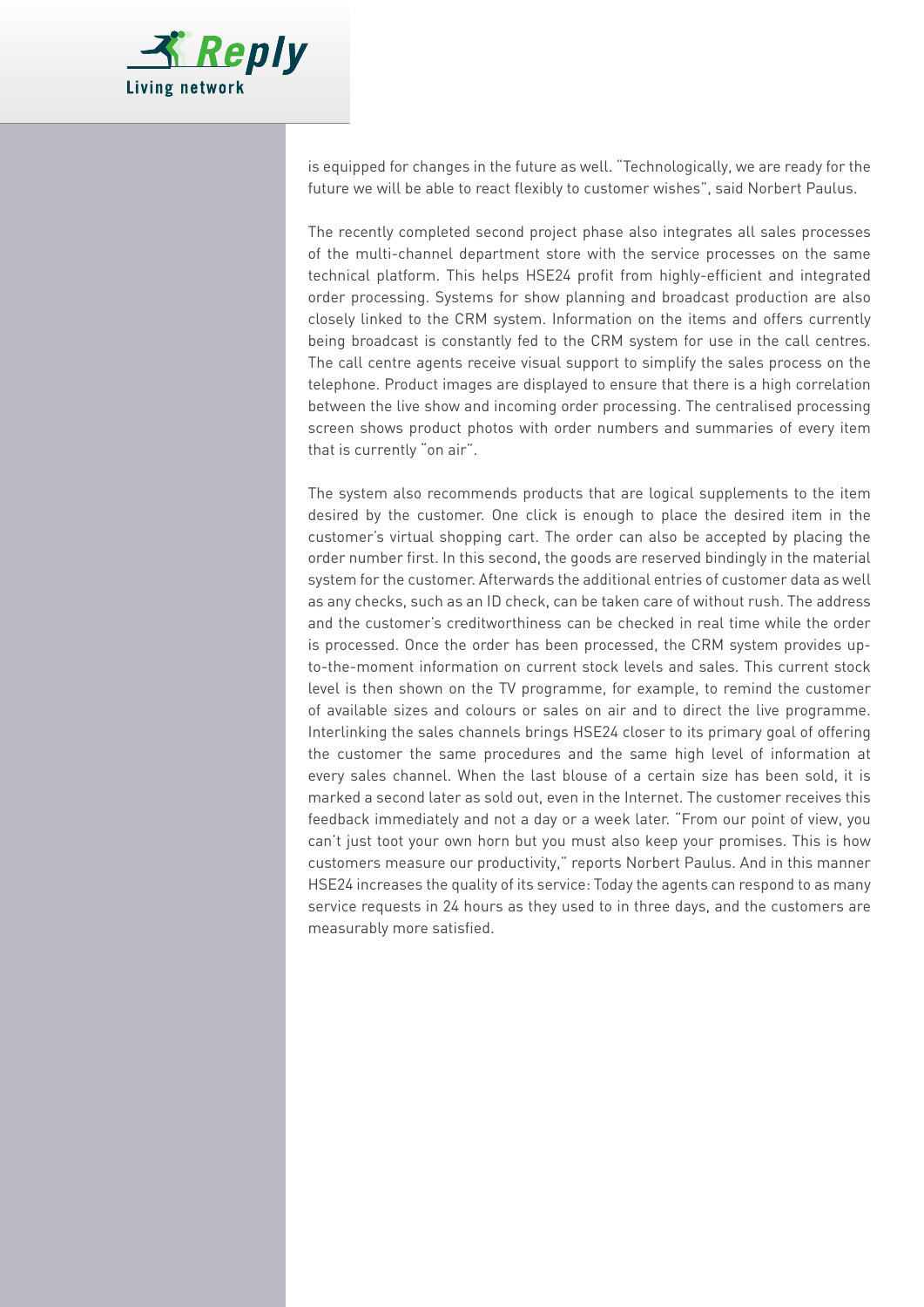

is equipped for changes in the future as well. "Technologically, we are ready for the future we will be able to react flexibly to customer wishes", said Norbert Paulus.

The recently completed second project phase also integrates all sales processes of the multi-channel department store with the service processes on the same technical platform. This helps HSE24 profit from highly-efficient and integrated order processing. Systems for show planning and broadcast production are also closely linked to the CRM system. Information on the items and offers currently being broadcast is constantly fed to the CRM system for use in the call centres. The call centre agents receive visual support to simplify the sales process on the telephone. Product images are displayed to ensure that there is a high correlation between the live show and incoming order processing. The centralised processing screen shows product photos with order numbers and summaries of every item that is currently "on air".

The system also recommends products that are logical supplements to the item desired by the customer. One click is enough to place the desired item in the customer's virtual shopping cart. The order can also be accepted by placing the order number first. In this second, the goods are reserved bindingly in the material system for the customer. Afterwards the additional entries of customer data as well as any checks, such as an ID check, can be taken care of without rush. The address and the customer's creditworthiness can be checked in real time while the order is processed. Once the order has been processed, the CRM system provides upto-the-moment information on current stock levels and sales. This current stock level is then shown on the TV programme, for example, to remind the customer of available sizes and colours or sales on air and to direct the live programme. Interlinking the sales channels brings HSE24 closer to its primary goal of offering the customer the same procedures and the same high level of information at every sales channel. When the last blouse of a certain size has been sold, it is marked a second later as sold out, even in the Internet. The customer receives this feedback immediately and not a day or a week later. "From our point of view, you can't just toot your own horn but you must also keep your promises. This is how customers measure our productivity," reports Norbert Paulus. And in this manner HSE24 increases the quality of its service: Today the agents can respond to as many service requests in 24 hours as they used to in three days, and the customers are measurably more satisfied.